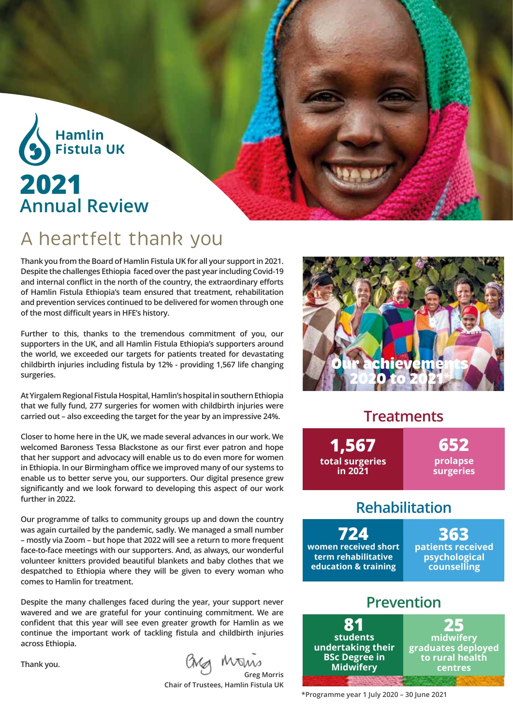

## A heartfelt thank you

**Thank you from the Board of Hamlin Fistula UK for all your support in 2021. Despite the challenges Ethiopia faced over the past year including Covid-19 and internal conflict in the north of the country, the extraordinary efforts of Hamlin Fistula Ethiopia's team ensured that treatment, rehabilitation and prevention services continued to be delivered for women through one of the most difficult years in HFE's history.** 

**Further to this, thanks to the tremendous commitment of you, our supporters in the UK, and all Hamlin Fistula Ethiopia's supporters around the world, we exceeded our targets for patients treated for devastating childbirth injuries including fistula by 12% - providing 1,567 life changing surgeries.** 

**At Yirgalem Regional Fistula Hospital, Hamlin's hospital in southern Ethiopia that we fully fund, 277 surgeries for women with childbirth injuries were carried out – also exceeding the target for the year by an impressive 24%.**

**Closer to home here in the UK, we made several advances in our work. We welcomed Baroness Tessa Blackstone as our first ever patron and hope that her support and advocacy will enable us to do even more for women in Ethiopia. In our Birmingham office we improved many of our systems to enable us to better serve you, our supporters. Our digital presence grew significantly and we look forward to developing this aspect of our work further in 2022.** 

**Our programme of talks to community groups up and down the country was again curtailed by the pandemic, sadly. We managed a small number – mostly via Zoom – but hope that 2022 will see a return to more frequent face-to-face meetings with our supporters. And, as always, our wonderful volunteer knitters provided beautiful blankets and baby clothes that we despatched to Ethiopia where they will be given to every woman who comes to Hamlin for treatment.** 

**Despite the many challenges faced during the year, your support never wavered and we are grateful for your continuing commitment. We are confident that this year will see even greater growth for Hamlin as we continue the important work of tackling fistula and childbirth injuries across Ethiopia.**

**Thank you.** 

**Greg Morris**

**Chair of Trustees, Hamlin Fistula UK**



#### **Treatments**

**652 prolapse surgeries 1,567 total surgeries in 2021**

### **Rehabilitation**

**724 women received short term rehabilitative education & training** 

**363 patients received psychological counselling** 

### **Prevention**



**\*Programme year 1 July 2020 – 30 June 2021**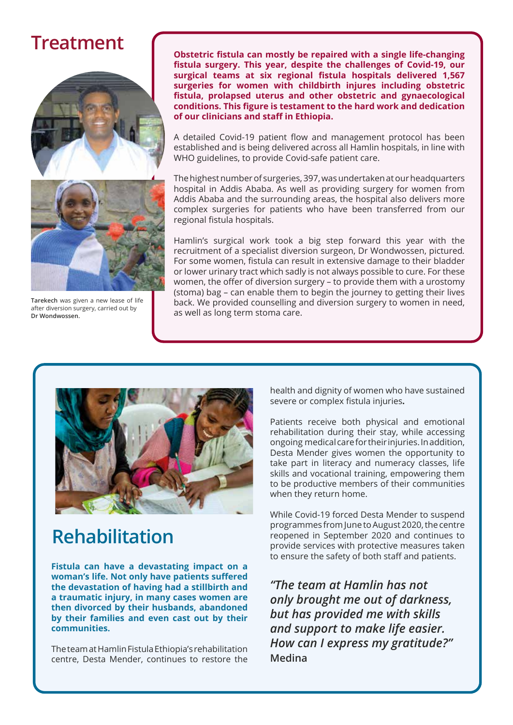## **Treatment**





**Tarekech** was given a new lease of life after diversion surgery, carried out by **Dr Wondwossen.**

**Obstetric fistula can mostly be repaired with a single life-changing fistula surgery. This year, despite the challenges of Covid-19, our surgical teams at six regional fistula hospitals delivered 1,567 surgeries for women with childbirth injures including obstetric fistula, prolapsed uterus and other obstetric and gynaecological conditions. This figure is testament to the hard work and dedication of our clinicians and staff in Ethiopia.** 

A detailed Covid-19 patient flow and management protocol has been established and is being delivered across all Hamlin hospitals, in line with WHO guidelines, to provide Covid-safe patient care.

The highest number of surgeries, 397, was undertaken at our headquarters hospital in Addis Ababa. As well as providing surgery for women from Addis Ababa and the surrounding areas, the hospital also delivers more complex surgeries for patients who have been transferred from our regional fistula hospitals.

Hamlin's surgical work took a big step forward this year with the recruitment of a specialist diversion surgeon, Dr Wondwossen, pictured*.* For some women, fistula can result in extensive damage to their bladder or lower urinary tract which sadly is not always possible to cure. For these women, the offer of diversion surgery – to provide them with a urostomy (stoma) bag – can enable them to begin the journey to getting their lives back. We provided counselling and diversion surgery to women in need, as well as long term stoma care.



# **Rehabilitation**

**Fistula can have a devastating impact on a woman's life. Not only have patients suffered the devastation of having had a stillbirth and a traumatic injury, in many cases women are then divorced by their husbands, abandoned by their families and even cast out by their communities.** 

The team at Hamlin Fistula Ethiopia's rehabilitation centre, Desta Mender, continues to restore the

health and dignity of women who have sustained severe or complex fistula injuries**.** 

Patients receive both physical and emotional rehabilitation during their stay, while accessing ongoing medical care for their injuries. In addition, Desta Mender gives women the opportunity to take part in literacy and numeracy classes, life skills and vocational training, empowering them to be productive members of their communities when they return home.

While Covid-19 forced Desta Mender to suspend programmes from June to August 2020, the centre reopened in September 2020 and continues to provide services with protective measures taken to ensure the safety of both staff and patients.

*"The team at Hamlin has not only brought me out of darkness, but has provided me with skills and support to make life easier. How can I express my gratitude?"*  **Medina**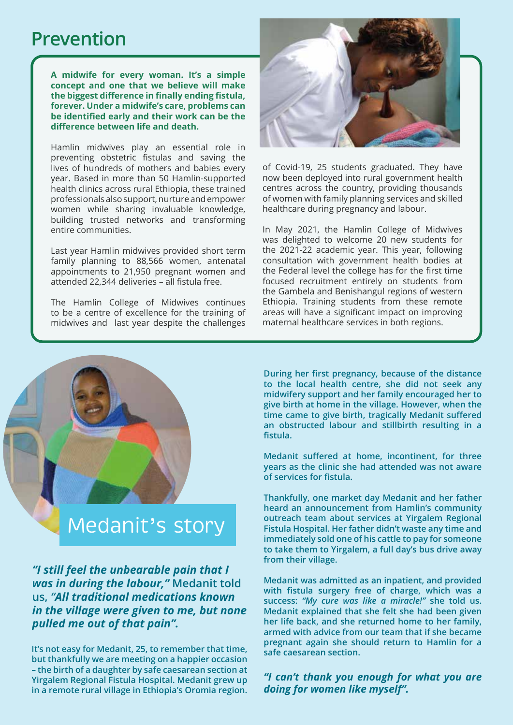### **Prevention**

**A midwife for every woman. It's a simple concept and one that we believe will make the biggest difference in finally ending fistula, forever. Under a midwife's care, problems can be identified early and their work can be the difference between life and death.** 

Hamlin midwives play an essential role in preventing obstetric fistulas and saving the lives of hundreds of mothers and babies every year. Based in more than 50 Hamlin-supported health clinics across rural Ethiopia, these trained professionals also support, nurture and empower women while sharing invaluable knowledge, building trusted networks and transforming entire communities.

Last year Hamlin midwives provided short term family planning to 88,566 women, antenatal appointments to 21,950 pregnant women and attended 22,344 deliveries – all fistula free.

The Hamlin College of Midwives continues to be a centre of excellence for the training of midwives and last year despite the challenges



of Covid-19, 25 students graduated. They have now been deployed into rural government health centres across the country, providing thousands of women with family planning services and skilled healthcare during pregnancy and labour.

In May 2021, the Hamlin College of Midwives was delighted to welcome 20 new students for the 2021-22 academic year. This year, following consultation with government health bodies at the Federal level the college has for the first time focused recruitment entirely on students from the Gambela and Benishangul regions of western Ethiopia. Training students from these remote areas will have a significant impact on improving maternal healthcare services in both regions.

**During her first pregnancy, because of the distance to the local health centre, she did not seek any midwifery support and her family encouraged her to give birth at home in the village. However, when the time came to give birth, tragically Medanit suffered an obstructed labour and stillbirth resulting in a fistula.** 

**Medanit suffered at home, incontinent, for three years as the clinic she had attended was not aware of services for fistula.**

**Thankfully, one market day Medanit and her father heard an announcement from Hamlin's community outreach team about services at Yirgalem Regional Fistula Hospital. Her father didn't waste any time and immediately sold one of his cattle to pay for someone to take them to Yirgalem, a full day's bus drive away from their village.** 

**Medanit was admitted as an inpatient, and provided with fistula surgery free of charge, which was a success:** *"My cure was like a miracle!"* **she told us. Medanit explained that she felt she had been given her life back, and she returned home to her family, armed with advice from our team that if she became pregnant again she should return to Hamlin for a safe caesarean section.** 

*"I can't thank you enough for what you are doing for women like myself".*

# Medanit's story

*"I still feel the unbearable pain that I was in during the labour,"* **Medanit told us,** *"All traditional medications known in the village were given to me, but none pulled me out of that pain".*

**It's not easy for Medanit, 25, to remember that time, but thankfully we are meeting on a happier occasion – the birth of a daughter by safe caesarean section at Yirgalem Regional Fistula Hospital. Medanit grew up in a remote rural village in Ethiopia's Oromia region.**